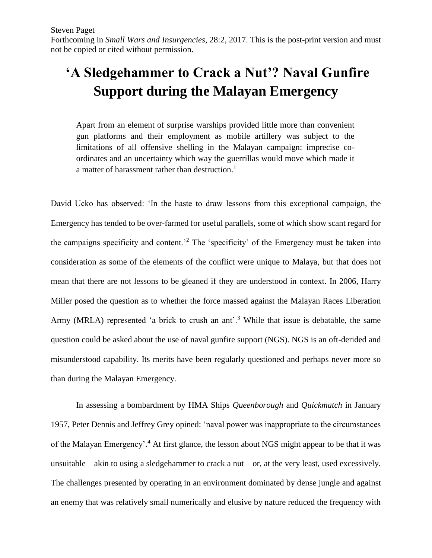Forthcoming in *Small Wars and Insurgencies*, 28:2, 2017. This is the post-print version and must not be copied or cited without permission.

# **'A Sledgehammer to Crack a Nut'? Naval Gunfire Support during the Malayan Emergency**

Apart from an element of surprise warships provided little more than convenient gun platforms and their employment as mobile artillery was subject to the limitations of all offensive shelling in the Malayan campaign: imprecise coordinates and an uncertainty which way the guerrillas would move which made it a matter of harassment rather than destruction.<sup>1</sup>

David Ucko has observed: 'In the haste to draw lessons from this exceptional campaign, the Emergency has tended to be over-farmed for useful parallels, some of which show scant regard for the campaigns specificity and content.'<sup>2</sup> The 'specificity' of the Emergency must be taken into consideration as some of the elements of the conflict were unique to Malaya, but that does not mean that there are not lessons to be gleaned if they are understood in context. In 2006, Harry Miller posed the question as to whether the force massed against the Malayan Races Liberation Army (MRLA) represented 'a brick to crush an ant'.<sup>3</sup> While that issue is debatable, the same question could be asked about the use of naval gunfire support (NGS). NGS is an oft-derided and misunderstood capability. Its merits have been regularly questioned and perhaps never more so than during the Malayan Emergency.

In assessing a bombardment by HMA Ships *Queenborough* and *Quickmatch* in January 1957, Peter Dennis and Jeffrey Grey opined: 'naval power was inappropriate to the circumstances of the Malayan Emergency'.<sup>4</sup> At first glance, the lesson about NGS might appear to be that it was unsuitable – akin to using a sledgehammer to crack a nut – or, at the very least, used excessively. The challenges presented by operating in an environment dominated by dense jungle and against an enemy that was relatively small numerically and elusive by nature reduced the frequency with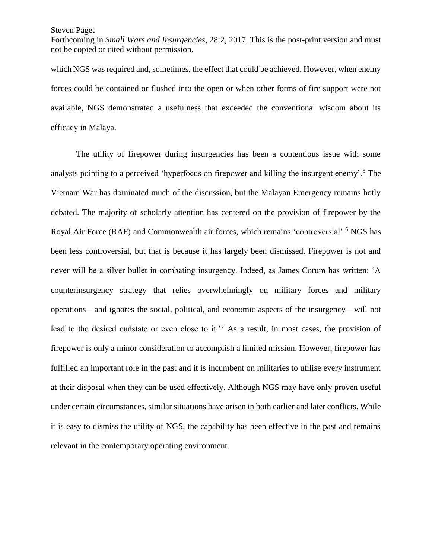Forthcoming in *Small Wars and Insurgencies*, 28:2, 2017. This is the post-print version and must not be copied or cited without permission.

which NGS was required and, sometimes, the effect that could be achieved. However, when enemy forces could be contained or flushed into the open or when other forms of fire support were not available, NGS demonstrated a usefulness that exceeded the conventional wisdom about its efficacy in Malaya.

The utility of firepower during insurgencies has been a contentious issue with some analysts pointing to a perceived 'hyperfocus on firepower and killing the insurgent enemy'.<sup>5</sup> The Vietnam War has dominated much of the discussion, but the Malayan Emergency remains hotly debated. The majority of scholarly attention has centered on the provision of firepower by the Royal Air Force (RAF) and Commonwealth air forces, which remains 'controversial'.<sup>6</sup> NGS has been less controversial, but that is because it has largely been dismissed. Firepower is not and never will be a silver bullet in combating insurgency. Indeed, as James Corum has written: 'A counterinsurgency strategy that relies overwhelmingly on military forces and military operations—and ignores the social, political, and economic aspects of the insurgency—will not lead to the desired endstate or even close to it.<sup> $7$ </sup> As a result, in most cases, the provision of firepower is only a minor consideration to accomplish a limited mission. However, firepower has fulfilled an important role in the past and it is incumbent on militaries to utilise every instrument at their disposal when they can be used effectively. Although NGS may have only proven useful under certain circumstances, similar situations have arisen in both earlier and later conflicts. While it is easy to dismiss the utility of NGS, the capability has been effective in the past and remains relevant in the contemporary operating environment.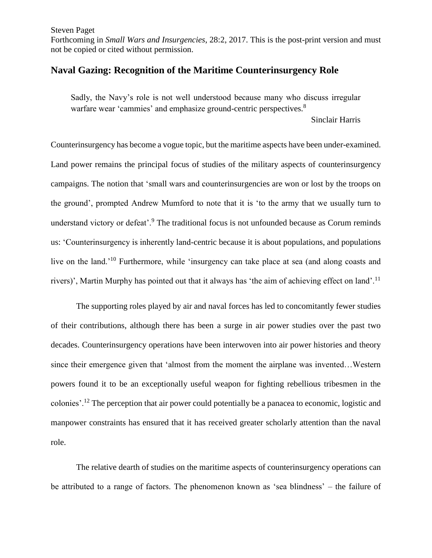Forthcoming in *Small Wars and Insurgencies*, 28:2, 2017. This is the post-print version and must not be copied or cited without permission.

# **Naval Gazing: Recognition of the Maritime Counterinsurgency Role**

Sadly, the Navy's role is not well understood because many who discuss irregular warfare wear 'cammies' and emphasize ground-centric perspectives.<sup>8</sup>

Sinclair Harris

Counterinsurgency has become a vogue topic, but the maritime aspects have been under-examined. Land power remains the principal focus of studies of the military aspects of counterinsurgency campaigns. The notion that 'small wars and counterinsurgencies are won or lost by the troops on the ground', prompted Andrew Mumford to note that it is 'to the army that we usually turn to understand victory or defeat'.<sup>9</sup> The traditional focus is not unfounded because as Corum reminds us: 'Counterinsurgency is inherently land-centric because it is about populations, and populations live on the land.<sup>'10</sup> Furthermore, while 'insurgency can take place at sea (and along coasts and rivers)', Martin Murphy has pointed out that it always has 'the aim of achieving effect on land'.<sup>11</sup>

The supporting roles played by air and naval forces has led to concomitantly fewer studies of their contributions, although there has been a surge in air power studies over the past two decades. Counterinsurgency operations have been interwoven into air power histories and theory since their emergence given that 'almost from the moment the airplane was invented…Western powers found it to be an exceptionally useful weapon for fighting rebellious tribesmen in the colonies'.<sup>12</sup> The perception that air power could potentially be a panacea to economic, logistic and manpower constraints has ensured that it has received greater scholarly attention than the naval role.

The relative dearth of studies on the maritime aspects of counterinsurgency operations can be attributed to a range of factors. The phenomenon known as 'sea blindness' – the failure of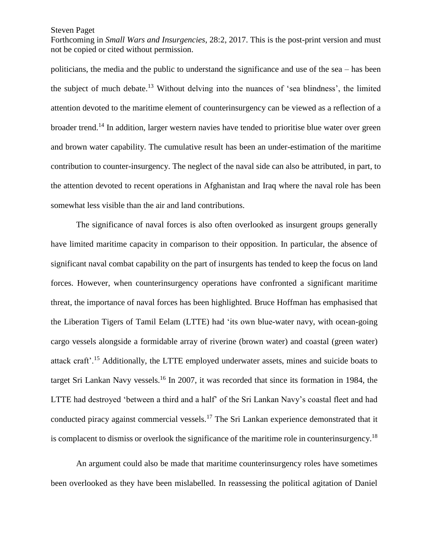Forthcoming in *Small Wars and Insurgencies*, 28:2, 2017. This is the post-print version and must not be copied or cited without permission.

politicians, the media and the public to understand the significance and use of the sea – has been the subject of much debate.<sup>13</sup> Without delving into the nuances of 'sea blindness', the limited attention devoted to the maritime element of counterinsurgency can be viewed as a reflection of a broader trend.<sup>14</sup> In addition, larger western navies have tended to prioritise blue water over green and brown water capability. The cumulative result has been an under-estimation of the maritime contribution to counter-insurgency. The neglect of the naval side can also be attributed, in part, to the attention devoted to recent operations in Afghanistan and Iraq where the naval role has been somewhat less visible than the air and land contributions.

The significance of naval forces is also often overlooked as insurgent groups generally have limited maritime capacity in comparison to their opposition. In particular, the absence of significant naval combat capability on the part of insurgents has tended to keep the focus on land forces. However, when counterinsurgency operations have confronted a significant maritime threat, the importance of naval forces has been highlighted. Bruce Hoffman has emphasised that the Liberation Tigers of Tamil Eelam (LTTE) had 'its own blue-water navy, with ocean-going cargo vessels alongside a formidable array of riverine (brown water) and coastal (green water) attack craft'.<sup>15</sup> Additionally, the LTTE employed underwater assets, mines and suicide boats to target Sri Lankan Navy vessels.<sup>16</sup> In 2007, it was recorded that since its formation in 1984, the LTTE had destroyed 'between a third and a half' of the Sri Lankan Navy's coastal fleet and had conducted piracy against commercial vessels.<sup>17</sup> The Sri Lankan experience demonstrated that it is complacent to dismiss or overlook the significance of the maritime role in counterinsurgency.<sup>18</sup>

An argument could also be made that maritime counterinsurgency roles have sometimes been overlooked as they have been mislabelled. In reassessing the political agitation of Daniel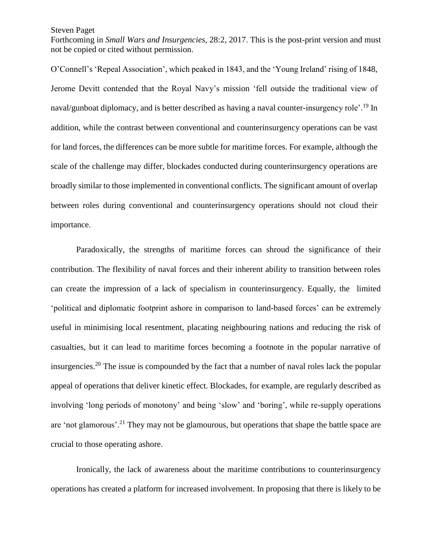Forthcoming in *Small Wars and Insurgencies*, 28:2, 2017. This is the post-print version and must not be copied or cited without permission.

O'Connell's 'Repeal Association', which peaked in 1843, and the 'Young Ireland' rising of 1848, Jerome Devitt contended that the Royal Navy's mission 'fell outside the traditional view of naval/gunboat diplomacy, and is better described as having a naval counter-insurgency role'.<sup>19</sup> In addition, while the contrast between conventional and counterinsurgency operations can be vast for land forces, the differences can be more subtle for maritime forces. For example, although the scale of the challenge may differ, blockades conducted during counterinsurgency operations are broadly similar to those implemented in conventional conflicts. The significant amount of overlap between roles during conventional and counterinsurgency operations should not cloud their importance.

Paradoxically, the strengths of maritime forces can shroud the significance of their contribution. The flexibility of naval forces and their inherent ability to transition between roles can create the impression of a lack of specialism in counterinsurgency. Equally, the limited 'political and diplomatic footprint ashore in comparison to land-based forces' can be extremely useful in minimising local resentment, placating neighbouring nations and reducing the risk of casualties, but it can lead to maritime forces becoming a footnote in the popular narrative of insurgencies.<sup>20</sup> The issue is compounded by the fact that a number of naval roles lack the popular appeal of operations that deliver kinetic effect. Blockades, for example, are regularly described as involving 'long periods of monotony' and being 'slow' and 'boring', while re-supply operations are 'not glamorous'.<sup>21</sup> They may not be glamourous, but operations that shape the battle space are crucial to those operating ashore.

Ironically, the lack of awareness about the maritime contributions to counterinsurgency operations has created a platform for increased involvement. In proposing that there is likely to be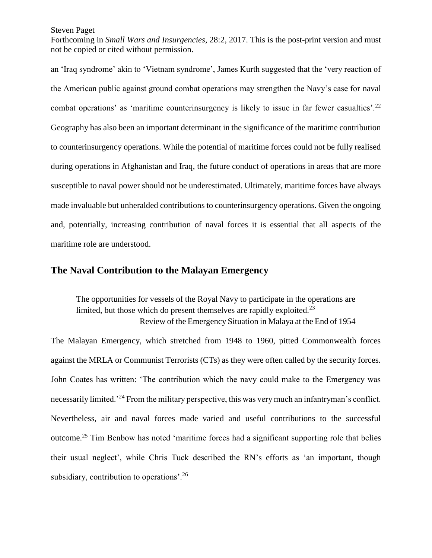Forthcoming in *Small Wars and Insurgencies*, 28:2, 2017. This is the post-print version and must not be copied or cited without permission.

an 'Iraq syndrome' akin to 'Vietnam syndrome', James Kurth suggested that the 'very reaction of the American public against ground combat operations may strengthen the Navy's case for naval combat operations' as 'maritime counterinsurgency is likely to issue in far fewer casualties'.<sup>22</sup> Geography has also been an important determinant in the significance of the maritime contribution to counterinsurgency operations. While the potential of maritime forces could not be fully realised during operations in Afghanistan and Iraq, the future conduct of operations in areas that are more susceptible to naval power should not be underestimated. Ultimately, maritime forces have always made invaluable but unheralded contributions to counterinsurgency operations. Given the ongoing and, potentially, increasing contribution of naval forces it is essential that all aspects of the maritime role are understood.

## **The Naval Contribution to the Malayan Emergency**

The opportunities for vessels of the Royal Navy to participate in the operations are limited, but those which do present themselves are rapidly exploited.<sup>23</sup> Review of the Emergency Situation in Malaya at the End of 1954

The Malayan Emergency, which stretched from 1948 to 1960, pitted Commonwealth forces against the MRLA or Communist Terrorists (CTs) as they were often called by the security forces. John Coates has written: 'The contribution which the navy could make to the Emergency was necessarily limited.<sup>24</sup> From the military perspective, this was very much an infantryman's conflict. Nevertheless, air and naval forces made varied and useful contributions to the successful outcome.<sup>25</sup> Tim Benbow has noted 'maritime forces had a significant supporting role that belies their usual neglect', while Chris Tuck described the RN's efforts as 'an important, though subsidiary, contribution to operations'.<sup>26</sup>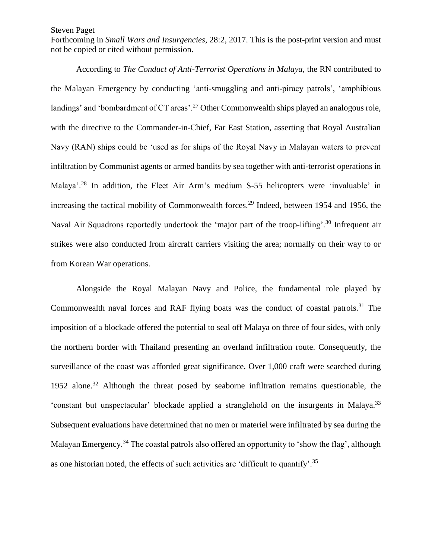Forthcoming in *Small Wars and Insurgencies*, 28:2, 2017. This is the post-print version and must not be copied or cited without permission.

According to *The Conduct of Anti-Terrorist Operations in Malaya*, the RN contributed to the Malayan Emergency by conducting 'anti-smuggling and anti-piracy patrols', 'amphibious landings' and 'bombardment of CT areas'.<sup>27</sup> Other Commonwealth ships played an analogous role, with the directive to the Commander-in-Chief, Far East Station, asserting that Royal Australian Navy (RAN) ships could be 'used as for ships of the Royal Navy in Malayan waters to prevent infiltration by Communist agents or armed bandits by sea together with anti-terrorist operations in Malaya'.<sup>28</sup> In addition, the Fleet Air Arm's medium S-55 helicopters were 'invaluable' in increasing the tactical mobility of Commonwealth forces.<sup>29</sup> Indeed, between 1954 and 1956, the Naval Air Squadrons reportedly undertook the 'major part of the troop-lifting'.<sup>30</sup> Infrequent air strikes were also conducted from aircraft carriers visiting the area; normally on their way to or from Korean War operations.

Alongside the Royal Malayan Navy and Police, the fundamental role played by Commonwealth naval forces and RAF flying boats was the conduct of coastal patrols.<sup>31</sup> The imposition of a blockade offered the potential to seal off Malaya on three of four sides, with only the northern border with Thailand presenting an overland infiltration route. Consequently, the surveillance of the coast was afforded great significance. Over 1,000 craft were searched during 1952 alone. <sup>32</sup> Although the threat posed by seaborne infiltration remains questionable, the 'constant but unspectacular' blockade applied a stranglehold on the insurgents in Malaya.<sup>33</sup> Subsequent evaluations have determined that no men or materiel were infiltrated by sea during the Malayan Emergency.<sup>34</sup> The coastal patrols also offered an opportunity to 'show the flag', although as one historian noted, the effects of such activities are 'difficult to quantify'.<sup>35</sup>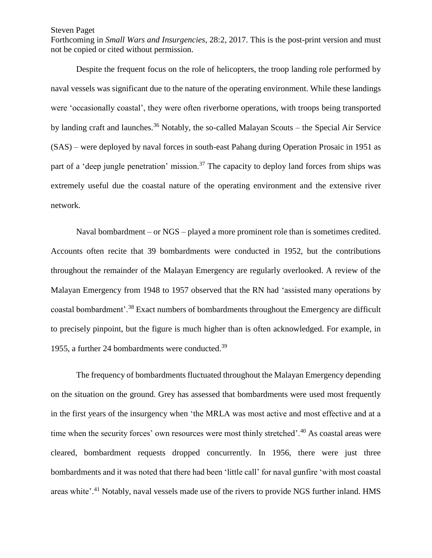Forthcoming in *Small Wars and Insurgencies*, 28:2, 2017. This is the post-print version and must not be copied or cited without permission.

Despite the frequent focus on the role of helicopters, the troop landing role performed by naval vessels was significant due to the nature of the operating environment. While these landings were 'occasionally coastal', they were often riverborne operations, with troops being transported by landing craft and launches.<sup>36</sup> Notably, the so-called Malayan Scouts – the Special Air Service (SAS) – were deployed by naval forces in south-east Pahang during Operation Prosaic in 1951 as part of a 'deep jungle penetration' mission.<sup>37</sup> The capacity to deploy land forces from ships was extremely useful due the coastal nature of the operating environment and the extensive river network.

Naval bombardment – or NGS – played a more prominent role than is sometimes credited. Accounts often recite that 39 bombardments were conducted in 1952, but the contributions throughout the remainder of the Malayan Emergency are regularly overlooked. A review of the Malayan Emergency from 1948 to 1957 observed that the RN had 'assisted many operations by coastal bombardment'.<sup>38</sup> Exact numbers of bombardments throughout the Emergency are difficult to precisely pinpoint, but the figure is much higher than is often acknowledged. For example, in 1955, a further 24 bombardments were conducted.<sup>39</sup>

The frequency of bombardments fluctuated throughout the Malayan Emergency depending on the situation on the ground. Grey has assessed that bombardments were used most frequently in the first years of the insurgency when 'the MRLA was most active and most effective and at a time when the security forces' own resources were most thinly stretched'.<sup>40</sup> As coastal areas were cleared, bombardment requests dropped concurrently. In 1956, there were just three bombardments and it was noted that there had been 'little call' for naval gunfire 'with most coastal areas white'.<sup>41</sup> Notably, naval vessels made use of the rivers to provide NGS further inland. HMS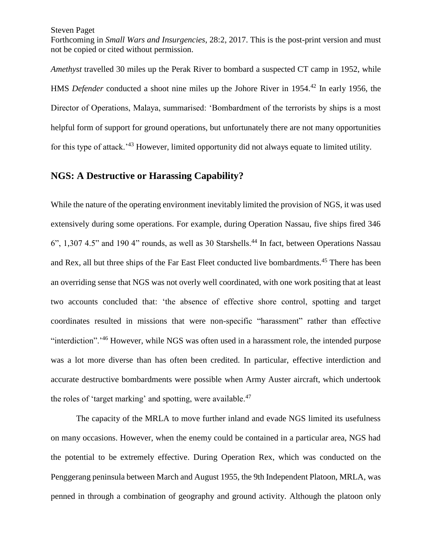Forthcoming in *Small Wars and Insurgencies*, 28:2, 2017. This is the post-print version and must not be copied or cited without permission.

*Amethyst* travelled 30 miles up the Perak River to bombard a suspected CT camp in 1952, while HMS *Defender* conducted a shoot nine miles up the Johore River in 1954.<sup>42</sup> In early 1956, the Director of Operations, Malaya, summarised: 'Bombardment of the terrorists by ships is a most helpful form of support for ground operations, but unfortunately there are not many opportunities for this type of attack.'<sup>43</sup> However, limited opportunity did not always equate to limited utility.

## **NGS: A Destructive or Harassing Capability?**

While the nature of the operating environment inevitably limited the provision of NGS, it was used extensively during some operations. For example, during Operation Nassau, five ships fired 346  $6$ ", 1,307 4.5" and 190 4" rounds, as well as 30 Starshells.<sup>44</sup> In fact, between Operations Nassau and Rex, all but three ships of the Far East Fleet conducted live bombardments.<sup>45</sup> There has been an overriding sense that NGS was not overly well coordinated, with one work positing that at least two accounts concluded that: 'the absence of effective shore control, spotting and target coordinates resulted in missions that were non-specific "harassment" rather than effective "interdiction".<sup>'46</sup> However, while NGS was often used in a harassment role, the intended purpose was a lot more diverse than has often been credited. In particular, effective interdiction and accurate destructive bombardments were possible when Army Auster aircraft, which undertook the roles of 'target marking' and spotting, were available.<sup>47</sup>

The capacity of the MRLA to move further inland and evade NGS limited its usefulness on many occasions. However, when the enemy could be contained in a particular area, NGS had the potential to be extremely effective. During Operation Rex, which was conducted on the Penggerang peninsula between March and August 1955, the 9th Independent Platoon, MRLA, was penned in through a combination of geography and ground activity. Although the platoon only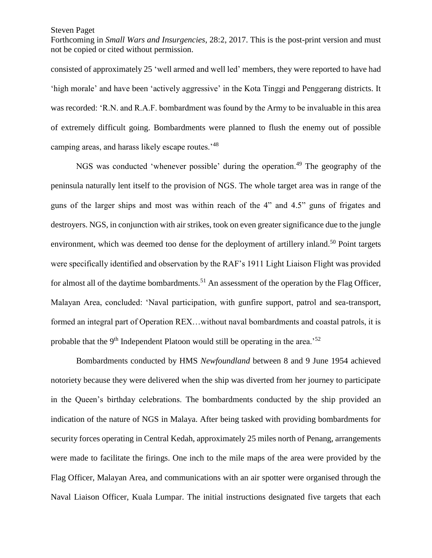Forthcoming in *Small Wars and Insurgencies*, 28:2, 2017. This is the post-print version and must not be copied or cited without permission.

consisted of approximately 25 'well armed and well led' members, they were reported to have had 'high morale' and have been 'actively aggressive' in the Kota Tinggi and Penggerang districts. It was recorded: 'R.N. and R.A.F. bombardment was found by the Army to be invaluable in this area of extremely difficult going. Bombardments were planned to flush the enemy out of possible camping areas, and harass likely escape routes.'<sup>48</sup>

NGS was conducted 'whenever possible' during the operation.<sup>49</sup> The geography of the peninsula naturally lent itself to the provision of NGS. The whole target area was in range of the guns of the larger ships and most was within reach of the 4" and 4.5" guns of frigates and destroyers. NGS, in conjunction with air strikes, took on even greater significance due to the jungle environment, which was deemed too dense for the deployment of artillery inland.<sup>50</sup> Point targets were specifically identified and observation by the RAF's 1911 Light Liaison Flight was provided for almost all of the daytime bombardments.<sup>51</sup> An assessment of the operation by the Flag Officer, Malayan Area, concluded: 'Naval participation, with gunfire support, patrol and sea-transport, formed an integral part of Operation REX…without naval bombardments and coastal patrols, it is probable that the  $9<sup>th</sup>$  Independent Platoon would still be operating in the area.<sup>52</sup>

Bombardments conducted by HMS *Newfoundland* between 8 and 9 June 1954 achieved notoriety because they were delivered when the ship was diverted from her journey to participate in the Queen's birthday celebrations. The bombardments conducted by the ship provided an indication of the nature of NGS in Malaya. After being tasked with providing bombardments for security forces operating in Central Kedah, approximately 25 miles north of Penang, arrangements were made to facilitate the firings. One inch to the mile maps of the area were provided by the Flag Officer, Malayan Area, and communications with an air spotter were organised through the Naval Liaison Officer, Kuala Lumpar. The initial instructions designated five targets that each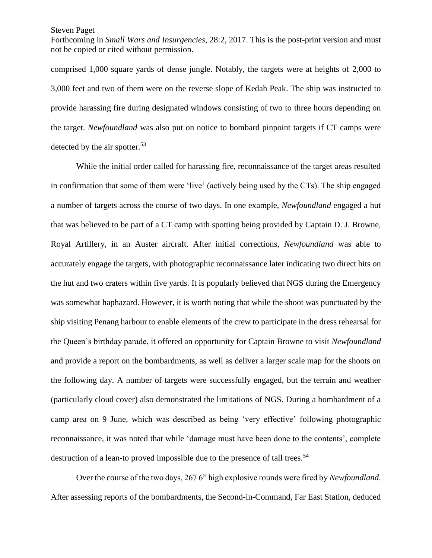Forthcoming in *Small Wars and Insurgencies*, 28:2, 2017. This is the post-print version and must not be copied or cited without permission.

comprised 1,000 square yards of dense jungle. Notably, the targets were at heights of 2,000 to 3,000 feet and two of them were on the reverse slope of Kedah Peak. The ship was instructed to provide harassing fire during designated windows consisting of two to three hours depending on the target. *Newfoundland* was also put on notice to bombard pinpoint targets if CT camps were detected by the air spotter.<sup>53</sup>

While the initial order called for harassing fire, reconnaissance of the target areas resulted in confirmation that some of them were 'live' (actively being used by the CTs). The ship engaged a number of targets across the course of two days. In one example, *Newfoundland* engaged a hut that was believed to be part of a CT camp with spotting being provided by Captain D. J. Browne, Royal Artillery, in an Auster aircraft. After initial corrections, *Newfoundland* was able to accurately engage the targets, with photographic reconnaissance later indicating two direct hits on the hut and two craters within five yards. It is popularly believed that NGS during the Emergency was somewhat haphazard. However, it is worth noting that while the shoot was punctuated by the ship visiting Penang harbour to enable elements of the crew to participate in the dress rehearsal for the Queen's birthday parade, it offered an opportunity for Captain Browne to visit *Newfoundland* and provide a report on the bombardments, as well as deliver a larger scale map for the shoots on the following day. A number of targets were successfully engaged, but the terrain and weather (particularly cloud cover) also demonstrated the limitations of NGS. During a bombardment of a camp area on 9 June, which was described as being 'very effective' following photographic reconnaissance, it was noted that while 'damage must have been done to the contents', complete destruction of a lean-to proved impossible due to the presence of tall trees.<sup>54</sup>

Over the course of the two days, 267 6" high explosive rounds were fired by *Newfoundland*. After assessing reports of the bombardments, the Second-in-Command, Far East Station, deduced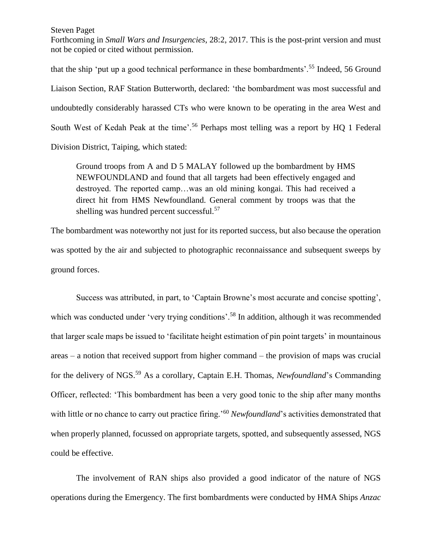Forthcoming in *Small Wars and Insurgencies*, 28:2, 2017. This is the post-print version and must not be copied or cited without permission.

that the ship 'put up a good technical performance in these bombardments'.<sup>55</sup> Indeed, 56 Ground Liaison Section, RAF Station Butterworth, declared: 'the bombardment was most successful and undoubtedly considerably harassed CTs who were known to be operating in the area West and South West of Kedah Peak at the time'.<sup>56</sup> Perhaps most telling was a report by HQ 1 Federal Division District, Taiping, which stated:

Ground troops from A and D 5 MALAY followed up the bombardment by HMS NEWFOUNDLAND and found that all targets had been effectively engaged and destroyed. The reported camp…was an old mining kongai. This had received a direct hit from HMS Newfoundland. General comment by troops was that the shelling was hundred percent successful.<sup>57</sup>

The bombardment was noteworthy not just for its reported success, but also because the operation was spotted by the air and subjected to photographic reconnaissance and subsequent sweeps by ground forces.

Success was attributed, in part, to 'Captain Browne's most accurate and concise spotting', which was conducted under 'very trying conditions'.<sup>58</sup> In addition, although it was recommended that larger scale maps be issued to 'facilitate height estimation of pin point targets' in mountainous areas – a notion that received support from higher command – the provision of maps was crucial for the delivery of NGS.<sup>59</sup> As a corollary, Captain E.H. Thomas, *Newfoundland*'s Commanding Officer, reflected: 'This bombardment has been a very good tonic to the ship after many months with little or no chance to carry out practice firing.<sup>'60</sup> *Newfoundland*'s activities demonstrated that when properly planned, focussed on appropriate targets, spotted, and subsequently assessed, NGS could be effective.

The involvement of RAN ships also provided a good indicator of the nature of NGS operations during the Emergency. The first bombardments were conducted by HMA Ships *Anzac*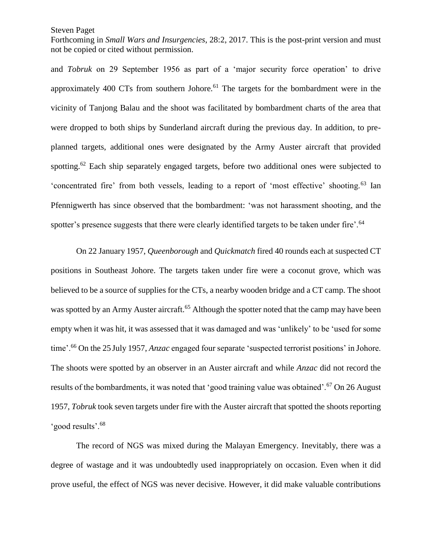Forthcoming in *Small Wars and Insurgencies*, 28:2, 2017. This is the post-print version and must not be copied or cited without permission.

and *Tobruk* on 29 September 1956 as part of a 'major security force operation' to drive approximately 400 CTs from southern Johore.<sup>61</sup> The targets for the bombardment were in the vicinity of Tanjong Balau and the shoot was facilitated by bombardment charts of the area that were dropped to both ships by Sunderland aircraft during the previous day. In addition, to preplanned targets, additional ones were designated by the Army Auster aircraft that provided spotting.<sup>62</sup> Each ship separately engaged targets, before two additional ones were subjected to 'concentrated fire' from both vessels, leading to a report of 'most effective' shooting.<sup>63</sup> Ian Pfennigwerth has since observed that the bombardment: 'was not harassment shooting, and the spotter's presence suggests that there were clearly identified targets to be taken under fire'.<sup>64</sup>

On 22 January 1957, *Queenborough* and *Quickmatch* fired 40 rounds each at suspected CT positions in Southeast Johore. The targets taken under fire were a coconut grove, which was believed to be a source of supplies for the CTs, a nearby wooden bridge and a CT camp. The shoot was spotted by an Army Auster aircraft.<sup>65</sup> Although the spotter noted that the camp may have been empty when it was hit, it was assessed that it was damaged and was 'unlikely' to be 'used for some time'.<sup>66</sup> On the 25 July 1957, *Anzac* engaged four separate 'suspected terrorist positions' in Johore. The shoots were spotted by an observer in an Auster aircraft and while *Anzac* did not record the results of the bombardments, it was noted that 'good training value was obtained'.<sup>67</sup> On 26 August 1957, *Tobruk* took seven targets under fire with the Auster aircraft that spotted the shoots reporting 'good results'.<sup>68</sup>

The record of NGS was mixed during the Malayan Emergency. Inevitably, there was a degree of wastage and it was undoubtedly used inappropriately on occasion. Even when it did prove useful, the effect of NGS was never decisive. However, it did make valuable contributions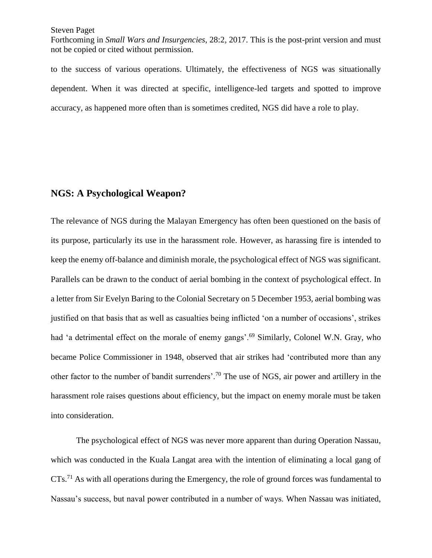Forthcoming in *Small Wars and Insurgencies*, 28:2, 2017. This is the post-print version and must not be copied or cited without permission.

to the success of various operations. Ultimately, the effectiveness of NGS was situationally dependent. When it was directed at specific, intelligence-led targets and spotted to improve accuracy, as happened more often than is sometimes credited, NGS did have a role to play.

## **NGS: A Psychological Weapon?**

The relevance of NGS during the Malayan Emergency has often been questioned on the basis of its purpose, particularly its use in the harassment role. However, as harassing fire is intended to keep the enemy off-balance and diminish morale, the psychological effect of NGS was significant. Parallels can be drawn to the conduct of aerial bombing in the context of psychological effect. In a letter from Sir Evelyn Baring to the Colonial Secretary on 5 December 1953, aerial bombing was justified on that basis that as well as casualties being inflicted 'on a number of occasions', strikes had 'a detrimental effect on the morale of enemy gangs'.<sup>69</sup> Similarly, Colonel W.N. Gray, who became Police Commissioner in 1948, observed that air strikes had 'contributed more than any other factor to the number of bandit surrenders'.<sup>70</sup> The use of NGS, air power and artillery in the harassment role raises questions about efficiency, but the impact on enemy morale must be taken into consideration.

The psychological effect of NGS was never more apparent than during Operation Nassau, which was conducted in the Kuala Langat area with the intention of eliminating a local gang of CTs.<sup>71</sup> As with all operations during the Emergency, the role of ground forces was fundamental to Nassau's success, but naval power contributed in a number of ways. When Nassau was initiated,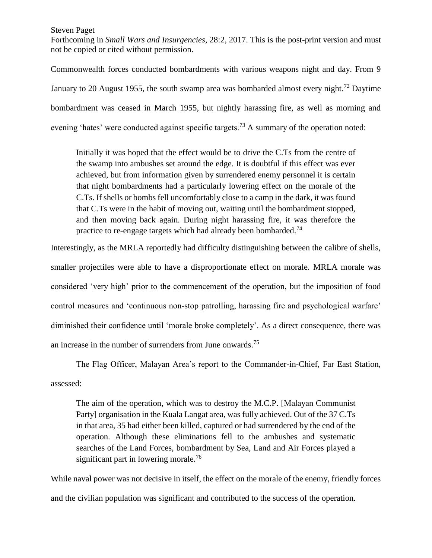Forthcoming in *Small Wars and Insurgencies*, 28:2, 2017. This is the post-print version and must not be copied or cited without permission.

Commonwealth forces conducted bombardments with various weapons night and day. From 9 January to 20 August 1955, the south swamp area was bombarded almost every night.<sup>72</sup> Daytime bombardment was ceased in March 1955, but nightly harassing fire, as well as morning and evening 'hates' were conducted against specific targets.<sup>73</sup> A summary of the operation noted:

Initially it was hoped that the effect would be to drive the C.Ts from the centre of the swamp into ambushes set around the edge. It is doubtful if this effect was ever achieved, but from information given by surrendered enemy personnel it is certain that night bombardments had a particularly lowering effect on the morale of the C.Ts. If shells or bombs fell uncomfortably close to a camp in the dark, it was found that C.Ts were in the habit of moving out, waiting until the bombardment stopped, and then moving back again. During night harassing fire, it was therefore the practice to re-engage targets which had already been bombarded.<sup>74</sup>

Interestingly, as the MRLA reportedly had difficulty distinguishing between the calibre of shells, smaller projectiles were able to have a disproportionate effect on morale. MRLA morale was considered 'very high' prior to the commencement of the operation, but the imposition of food control measures and 'continuous non-stop patrolling, harassing fire and psychological warfare' diminished their confidence until 'morale broke completely'. As a direct consequence, there was an increase in the number of surrenders from June onwards.<sup>75</sup>

The Flag Officer, Malayan Area's report to the Commander-in-Chief, Far East Station, assessed:

The aim of the operation, which was to destroy the M.C.P. [Malayan Communist Party] organisation in the Kuala Langat area, was fully achieved. Out of the 37 C.Ts in that area, 35 had either been killed, captured or had surrendered by the end of the operation. Although these eliminations fell to the ambushes and systematic searches of the Land Forces, bombardment by Sea, Land and Air Forces played a significant part in lowering morale.<sup>76</sup>

While naval power was not decisive in itself, the effect on the morale of the enemy, friendly forces and the civilian population was significant and contributed to the success of the operation.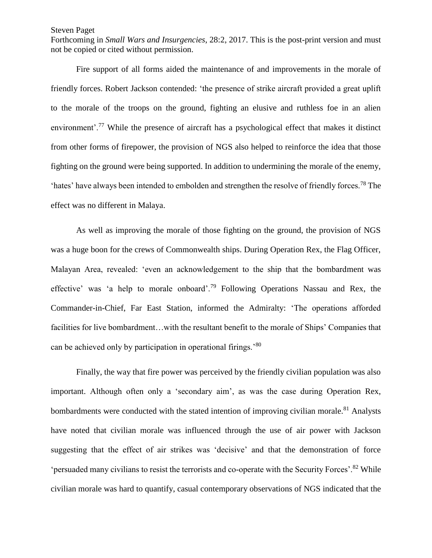Forthcoming in *Small Wars and Insurgencies*, 28:2, 2017. This is the post-print version and must not be copied or cited without permission.

Fire support of all forms aided the maintenance of and improvements in the morale of friendly forces. Robert Jackson contended: 'the presence of strike aircraft provided a great uplift to the morale of the troops on the ground, fighting an elusive and ruthless foe in an alien environment'.<sup>77</sup> While the presence of aircraft has a psychological effect that makes it distinct from other forms of firepower, the provision of NGS also helped to reinforce the idea that those fighting on the ground were being supported. In addition to undermining the morale of the enemy, 'hates' have always been intended to embolden and strengthen the resolve of friendly forces.<sup>78</sup> The effect was no different in Malaya.

As well as improving the morale of those fighting on the ground, the provision of NGS was a huge boon for the crews of Commonwealth ships. During Operation Rex, the Flag Officer, Malayan Area, revealed: 'even an acknowledgement to the ship that the bombardment was effective' was 'a help to morale onboard'.<sup>79</sup> Following Operations Nassau and Rex, the Commander-in-Chief, Far East Station, informed the Admiralty: 'The operations afforded facilities for live bombardment…with the resultant benefit to the morale of Ships' Companies that can be achieved only by participation in operational firings.'<sup>80</sup>

Finally, the way that fire power was perceived by the friendly civilian population was also important. Although often only a 'secondary aim', as was the case during Operation Rex, bombardments were conducted with the stated intention of improving civilian morale.<sup>81</sup> Analysts have noted that civilian morale was influenced through the use of air power with Jackson suggesting that the effect of air strikes was 'decisive' and that the demonstration of force 'persuaded many civilians to resist the terrorists and co-operate with the Security Forces'.<sup>82</sup> While civilian morale was hard to quantify, casual contemporary observations of NGS indicated that the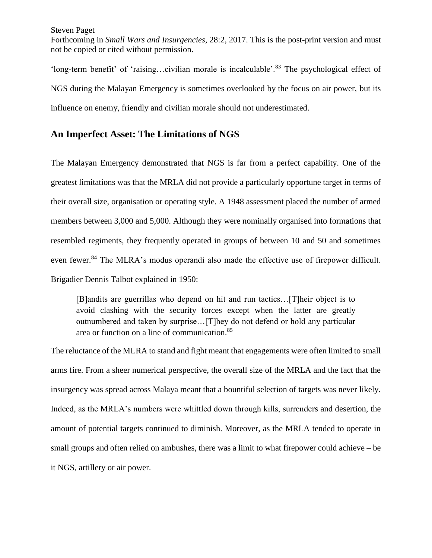Forthcoming in *Small Wars and Insurgencies*, 28:2, 2017. This is the post-print version and must not be copied or cited without permission.

'long-term benefit' of 'raising…civilian morale is incalculable'.<sup>83</sup> The psychological effect of NGS during the Malayan Emergency is sometimes overlooked by the focus on air power, but its influence on enemy, friendly and civilian morale should not underestimated.

# **An Imperfect Asset: The Limitations of NGS**

The Malayan Emergency demonstrated that NGS is far from a perfect capability. One of the greatest limitations was that the MRLA did not provide a particularly opportune target in terms of their overall size, organisation or operating style. A 1948 assessment placed the number of armed members between 3,000 and 5,000. Although they were nominally organised into formations that resembled regiments, they frequently operated in groups of between 10 and 50 and sometimes even fewer.<sup>84</sup> The MLRA's modus operandi also made the effective use of firepower difficult. Brigadier Dennis Talbot explained in 1950:

[B]andits are guerrillas who depend on hit and run tactics…[T]heir object is to avoid clashing with the security forces except when the latter are greatly outnumbered and taken by surprise…[T]hey do not defend or hold any particular area or function on a line of communication.<sup>85</sup>

The reluctance of the MLRA to stand and fight meant that engagements were often limited to small arms fire. From a sheer numerical perspective, the overall size of the MRLA and the fact that the insurgency was spread across Malaya meant that a bountiful selection of targets was never likely. Indeed, as the MRLA's numbers were whittled down through kills, surrenders and desertion, the amount of potential targets continued to diminish. Moreover, as the MRLA tended to operate in small groups and often relied on ambushes, there was a limit to what firepower could achieve – be it NGS, artillery or air power.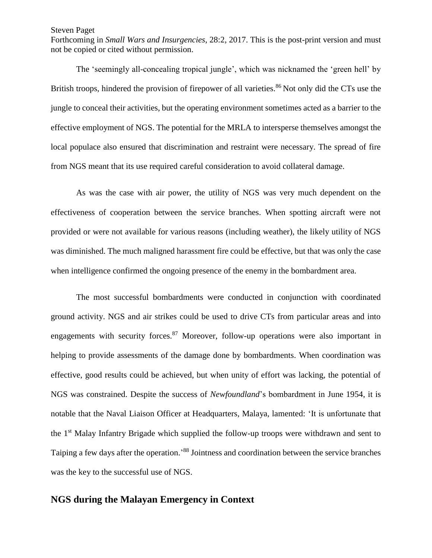Forthcoming in *Small Wars and Insurgencies*, 28:2, 2017. This is the post-print version and must not be copied or cited without permission.

The 'seemingly all-concealing tropical jungle', which was nicknamed the 'green hell' by British troops, hindered the provision of firepower of all varieties.<sup>86</sup> Not only did the CTs use the jungle to conceal their activities, but the operating environment sometimes acted as a barrier to the effective employment of NGS. The potential for the MRLA to intersperse themselves amongst the local populace also ensured that discrimination and restraint were necessary. The spread of fire from NGS meant that its use required careful consideration to avoid collateral damage.

As was the case with air power, the utility of NGS was very much dependent on the effectiveness of cooperation between the service branches. When spotting aircraft were not provided or were not available for various reasons (including weather), the likely utility of NGS was diminished. The much maligned harassment fire could be effective, but that was only the case when intelligence confirmed the ongoing presence of the enemy in the bombardment area.

The most successful bombardments were conducted in conjunction with coordinated ground activity. NGS and air strikes could be used to drive CTs from particular areas and into engagements with security forces.<sup>87</sup> Moreover, follow-up operations were also important in helping to provide assessments of the damage done by bombardments. When coordination was effective, good results could be achieved, but when unity of effort was lacking, the potential of NGS was constrained. Despite the success of *Newfoundland*'s bombardment in June 1954, it is notable that the Naval Liaison Officer at Headquarters, Malaya, lamented: 'It is unfortunate that the 1st Malay Infantry Brigade which supplied the follow-up troops were withdrawn and sent to Taiping a few days after the operation.<sup>88</sup> Jointness and coordination between the service branches was the key to the successful use of NGS.

## **NGS during the Malayan Emergency in Context**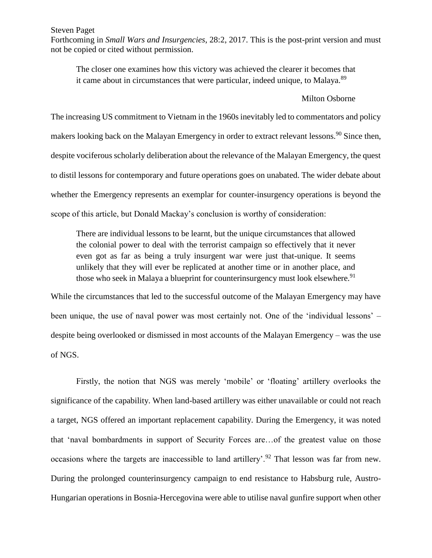Forthcoming in *Small Wars and Insurgencies*, 28:2, 2017. This is the post-print version and must not be copied or cited without permission.

The closer one examines how this victory was achieved the clearer it becomes that it came about in circumstances that were particular, indeed unique, to Malaya.<sup>89</sup>

#### Milton Osborne

The increasing US commitment to Vietnam in the 1960s inevitably led to commentators and policy makers looking back on the Malayan Emergency in order to extract relevant lessons.<sup>90</sup> Since then, despite vociferous scholarly deliberation about the relevance of the Malayan Emergency, the quest to distil lessons for contemporary and future operations goes on unabated. The wider debate about whether the Emergency represents an exemplar for counter-insurgency operations is beyond the scope of this article, but Donald Mackay's conclusion is worthy of consideration:

There are individual lessons to be learnt, but the unique circumstances that allowed the colonial power to deal with the terrorist campaign so effectively that it never even got as far as being a truly insurgent war were just that-unique. It seems unlikely that they will ever be replicated at another time or in another place, and those who seek in Malaya a blueprint for counterinsurgency must look elsewhere.<sup>91</sup>

While the circumstances that led to the successful outcome of the Malayan Emergency may have been unique, the use of naval power was most certainly not. One of the 'individual lessons' – despite being overlooked or dismissed in most accounts of the Malayan Emergency – was the use of NGS.

Firstly, the notion that NGS was merely 'mobile' or 'floating' artillery overlooks the significance of the capability. When land-based artillery was either unavailable or could not reach a target, NGS offered an important replacement capability. During the Emergency, it was noted that 'naval bombardments in support of Security Forces are…of the greatest value on those occasions where the targets are inaccessible to land artillery'.<sup>92</sup> That lesson was far from new. During the prolonged counterinsurgency campaign to end resistance to Habsburg rule, Austro-Hungarian operations in Bosnia-Hercegovina were able to utilise naval gunfire support when other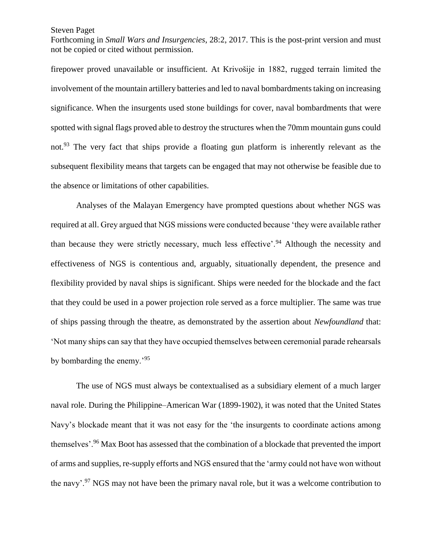Forthcoming in *Small Wars and Insurgencies*, 28:2, 2017. This is the post-print version and must not be copied or cited without permission.

firepower proved unavailable or insufficient. At Krivošije in 1882, rugged terrain limited the involvement of the mountain artillery batteries and led to naval bombardments taking on increasing significance. When the insurgents used stone buildings for cover, naval bombardments that were spotted with signal flags proved able to destroy the structures when the 70mm mountain guns could not.<sup>93</sup> The very fact that ships provide a floating gun platform is inherently relevant as the subsequent flexibility means that targets can be engaged that may not otherwise be feasible due to the absence or limitations of other capabilities.

Analyses of the Malayan Emergency have prompted questions about whether NGS was required at all. Grey argued that NGS missions were conducted because 'they were available rather than because they were strictly necessary, much less effective<sup> $2,94$ </sup> Although the necessity and effectiveness of NGS is contentious and, arguably, situationally dependent, the presence and flexibility provided by naval ships is significant. Ships were needed for the blockade and the fact that they could be used in a power projection role served as a force multiplier. The same was true of ships passing through the theatre, as demonstrated by the assertion about *Newfoundland* that: 'Not many ships can say that they have occupied themselves between ceremonial parade rehearsals by bombarding the enemy.'<sup>95</sup>

The use of NGS must always be contextualised as a subsidiary element of a much larger naval role. During the Philippine–American War (1899-1902), it was noted that the United States Navy's blockade meant that it was not easy for the 'the insurgents to coordinate actions among themselves'.<sup>96</sup> Max Boot has assessed that the combination of a blockade that prevented the import of arms and supplies, re-supply efforts and NGS ensured that the 'army could not have won without the navy'.<sup>97</sup> NGS may not have been the primary naval role, but it was a welcome contribution to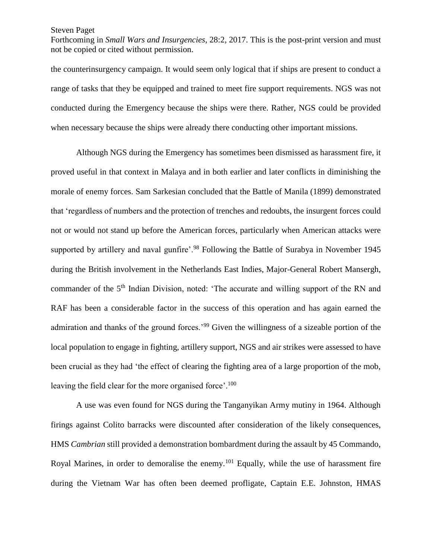Forthcoming in *Small Wars and Insurgencies*, 28:2, 2017. This is the post-print version and must not be copied or cited without permission.

the counterinsurgency campaign. It would seem only logical that if ships are present to conduct a range of tasks that they be equipped and trained to meet fire support requirements. NGS was not conducted during the Emergency because the ships were there. Rather, NGS could be provided when necessary because the ships were already there conducting other important missions.

Although NGS during the Emergency has sometimes been dismissed as harassment fire, it proved useful in that context in Malaya and in both earlier and later conflicts in diminishing the morale of enemy forces. Sam Sarkesian concluded that the Battle of Manila (1899) demonstrated that 'regardless of numbers and the protection of trenches and redoubts, the insurgent forces could not or would not stand up before the American forces, particularly when American attacks were supported by artillery and naval gunfire'.<sup>98</sup> Following the Battle of Surabya in November 1945 during the British involvement in the Netherlands East Indies, Major-General Robert Mansergh, commander of the 5<sup>th</sup> Indian Division, noted: 'The accurate and willing support of the RN and RAF has been a considerable factor in the success of this operation and has again earned the admiration and thanks of the ground forces.'<sup>99</sup> Given the willingness of a sizeable portion of the local population to engage in fighting, artillery support, NGS and air strikes were assessed to have been crucial as they had 'the effect of clearing the fighting area of a large proportion of the mob, leaving the field clear for the more organised force'.<sup>100</sup>

A use was even found for NGS during the Tanganyikan Army mutiny in 1964. Although firings against Colito barracks were discounted after consideration of the likely consequences, HMS *Cambrian* still provided a demonstration bombardment during the assault by 45 Commando, Royal Marines, in order to demoralise the enemy.<sup>101</sup> Equally, while the use of harassment fire during the Vietnam War has often been deemed profligate, Captain E.E. Johnston, HMAS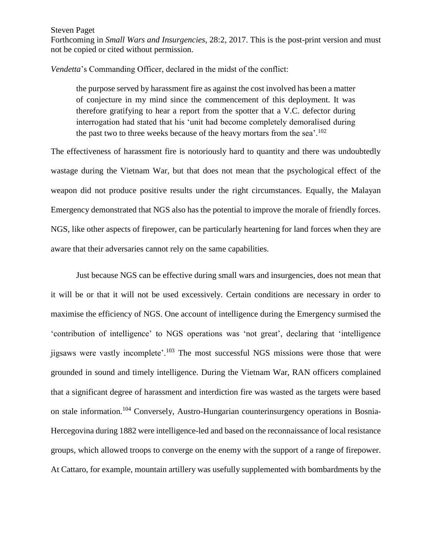Forthcoming in *Small Wars and Insurgencies*, 28:2, 2017. This is the post-print version and must not be copied or cited without permission.

*Vendetta*'s Commanding Officer, declared in the midst of the conflict:

the purpose served by harassment fire as against the cost involved has been a matter of conjecture in my mind since the commencement of this deployment. It was therefore gratifying to hear a report from the spotter that a V.C. defector during interrogation had stated that his 'unit had become completely demoralised during the past two to three weeks because of the heavy mortars from the sea'.<sup>102</sup>

The effectiveness of harassment fire is notoriously hard to quantity and there was undoubtedly wastage during the Vietnam War, but that does not mean that the psychological effect of the weapon did not produce positive results under the right circumstances. Equally, the Malayan Emergency demonstrated that NGS also has the potential to improve the morale of friendly forces. NGS, like other aspects of firepower, can be particularly heartening for land forces when they are aware that their adversaries cannot rely on the same capabilities.

Just because NGS can be effective during small wars and insurgencies, does not mean that it will be or that it will not be used excessively. Certain conditions are necessary in order to maximise the efficiency of NGS. One account of intelligence during the Emergency surmised the 'contribution of intelligence' to NGS operations was 'not great', declaring that 'intelligence jigsaws were vastly incomplete'.<sup>103</sup> The most successful NGS missions were those that were grounded in sound and timely intelligence. During the Vietnam War, RAN officers complained that a significant degree of harassment and interdiction fire was wasted as the targets were based on stale information.<sup>104</sup> Conversely, Austro-Hungarian counterinsurgency operations in Bosnia-Hercegovina during 1882 were intelligence-led and based on the reconnaissance of local resistance groups, which allowed troops to converge on the enemy with the support of a range of firepower. At Cattaro, for example, mountain artillery was usefully supplemented with bombardments by the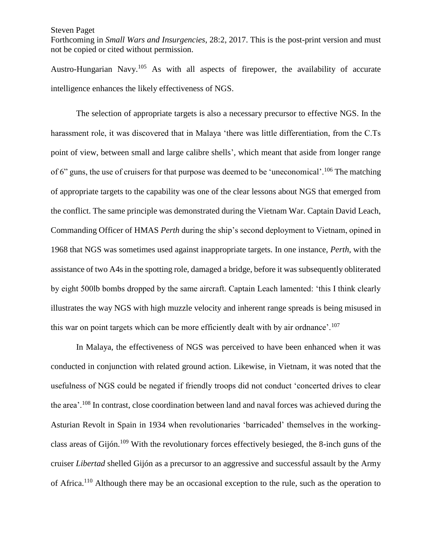Forthcoming in *Small Wars and Insurgencies*, 28:2, 2017. This is the post-print version and must not be copied or cited without permission.

Austro-Hungarian Navy.<sup>105</sup> As with all aspects of firepower, the availability of accurate intelligence enhances the likely effectiveness of NGS.

The selection of appropriate targets is also a necessary precursor to effective NGS. In the harassment role, it was discovered that in Malaya 'there was little differentiation, from the C.Ts point of view, between small and large calibre shells', which meant that aside from longer range of 6" guns, the use of cruisers for that purpose was deemed to be 'uneconomical'.<sup>106</sup> The matching of appropriate targets to the capability was one of the clear lessons about NGS that emerged from the conflict. The same principle was demonstrated during the Vietnam War. Captain David Leach, Commanding Officer of HMAS *Perth* during the ship's second deployment to Vietnam, opined in 1968 that NGS was sometimes used against inappropriate targets. In one instance, *Perth*, with the assistance of two A4s in the spotting role, damaged a bridge, before it was subsequently obliterated by eight 500lb bombs dropped by the same aircraft. Captain Leach lamented: 'this I think clearly illustrates the way NGS with high muzzle velocity and inherent range spreads is being misused in this war on point targets which can be more efficiently dealt with by air ordnance'.<sup>107</sup>

In Malaya, the effectiveness of NGS was perceived to have been enhanced when it was conducted in conjunction with related ground action. Likewise, in Vietnam, it was noted that the usefulness of NGS could be negated if friendly troops did not conduct 'concerted drives to clear the area'.<sup>108</sup> In contrast, close coordination between land and naval forces was achieved during the Asturian Revolt in Spain in 1934 when revolutionaries 'barricaded' themselves in the workingclass areas of Gijón.<sup>109</sup> With the revolutionary forces effectively besieged, the 8-inch guns of the cruiser *Libertad* shelled Gijón as a precursor to an aggressive and successful assault by the Army of Africa.<sup>110</sup> Although there may be an occasional exception to the rule, such as the operation to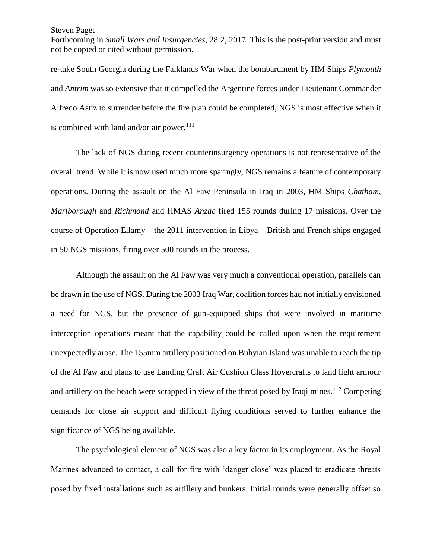Forthcoming in *Small Wars and Insurgencies*, 28:2, 2017. This is the post-print version and must not be copied or cited without permission.

re-take South Georgia during the Falklands War when the bombardment by HM Ships *Plymouth* and *Antrim* was so extensive that it compelled the Argentine forces under Lieutenant Commander Alfredo Astiz to surrender before the fire plan could be completed, NGS is most effective when it is combined with land and/or air power. $111$ 

The lack of NGS during recent counterinsurgency operations is not representative of the overall trend. While it is now used much more sparingly, NGS remains a feature of contemporary operations. During the assault on the Al Faw Peninsula in Iraq in 2003, HM Ships *Chatham*, *Marlborough* and *Richmond* and HMAS *Anzac* fired 155 rounds during 17 missions. Over the course of Operation Ellamy – the 2011 intervention in Libya – British and French ships engaged in 50 NGS missions, firing over 500 rounds in the process.

Although the assault on the Al Faw was very much a conventional operation, parallels can be drawn in the use of NGS. During the 2003 Iraq War, coalition forces had not initially envisioned a need for NGS, but the presence of gun-equipped ships that were involved in maritime interception operations meant that the capability could be called upon when the requirement unexpectedly arose. The 155mm artillery positioned on Bubyian Island was unable to reach the tip of the Al Faw and plans to use Landing Craft Air Cushion Class Hovercrafts to land light armour and artillery on the beach were scrapped in view of the threat posed by Iraqi mines.<sup>112</sup> Competing demands for close air support and difficult flying conditions served to further enhance the significance of NGS being available.

The psychological element of NGS was also a key factor in its employment. As the Royal Marines advanced to contact, a call for fire with 'danger close' was placed to eradicate threats posed by fixed installations such as artillery and bunkers. Initial rounds were generally offset so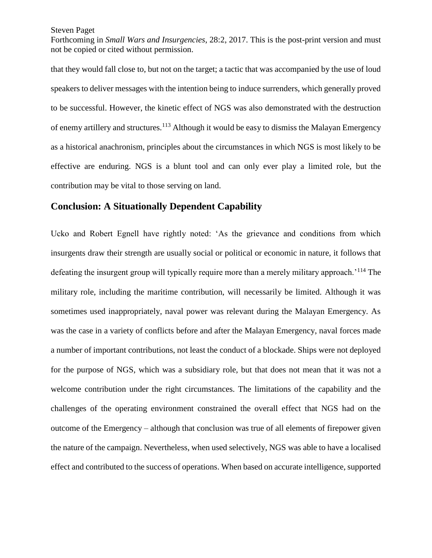Forthcoming in *Small Wars and Insurgencies*, 28:2, 2017. This is the post-print version and must not be copied or cited without permission.

that they would fall close to, but not on the target; a tactic that was accompanied by the use of loud speakers to deliver messages with the intention being to induce surrenders, which generally proved to be successful. However, the kinetic effect of NGS was also demonstrated with the destruction of enemy artillery and structures.<sup>113</sup> Although it would be easy to dismiss the Malayan Emergency as a historical anachronism, principles about the circumstances in which NGS is most likely to be effective are enduring. NGS is a blunt tool and can only ever play a limited role, but the contribution may be vital to those serving on land.

# **Conclusion: A Situationally Dependent Capability**

Ucko and Robert Egnell have rightly noted: 'As the grievance and conditions from which insurgents draw their strength are usually social or political or economic in nature, it follows that defeating the insurgent group will typically require more than a merely military approach.<sup>'114</sup> The military role, including the maritime contribution, will necessarily be limited. Although it was sometimes used inappropriately, naval power was relevant during the Malayan Emergency. As was the case in a variety of conflicts before and after the Malayan Emergency, naval forces made a number of important contributions, not least the conduct of a blockade. Ships were not deployed for the purpose of NGS, which was a subsidiary role, but that does not mean that it was not a welcome contribution under the right circumstances. The limitations of the capability and the challenges of the operating environment constrained the overall effect that NGS had on the outcome of the Emergency – although that conclusion was true of all elements of firepower given the nature of the campaign. Nevertheless, when used selectively, NGS was able to have a localised effect and contributed to the success of operations. When based on accurate intelligence, supported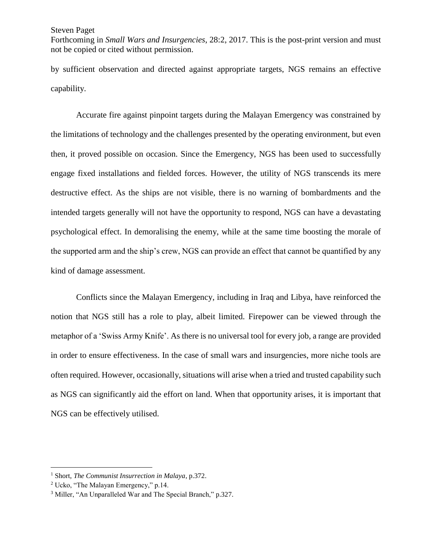Forthcoming in *Small Wars and Insurgencies*, 28:2, 2017. This is the post-print version and must not be copied or cited without permission.

by sufficient observation and directed against appropriate targets, NGS remains an effective capability.

Accurate fire against pinpoint targets during the Malayan Emergency was constrained by the limitations of technology and the challenges presented by the operating environment, but even then, it proved possible on occasion. Since the Emergency, NGS has been used to successfully engage fixed installations and fielded forces. However, the utility of NGS transcends its mere destructive effect. As the ships are not visible, there is no warning of bombardments and the intended targets generally will not have the opportunity to respond, NGS can have a devastating psychological effect. In demoralising the enemy, while at the same time boosting the morale of the supported arm and the ship's crew, NGS can provide an effect that cannot be quantified by any kind of damage assessment.

Conflicts since the Malayan Emergency, including in Iraq and Libya, have reinforced the notion that NGS still has a role to play, albeit limited. Firepower can be viewed through the metaphor of a 'Swiss Army Knife'. As there is no universal tool for every job, a range are provided in order to ensure effectiveness. In the case of small wars and insurgencies, more niche tools are often required. However, occasionally, situations will arise when a tried and trusted capability such as NGS can significantly aid the effort on land. When that opportunity arises, it is important that NGS can be effectively utilised.

 $\overline{a}$ 

<sup>1</sup> Short, *The Communist Insurrection in Malaya*, p.372.

<sup>2</sup> Ucko, "The Malayan Emergency," p.14.

<sup>3</sup> Miller, "An Unparalleled War and The Special Branch," p.327.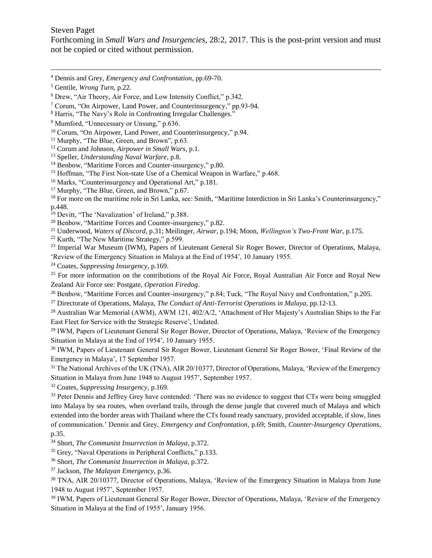$\overline{a}$ 

Forthcoming in *Small Wars and Insurgencies*, 28:2, 2017. This is the post-print version and must not be copied or cited without permission.

<sup>12</sup> Corum and Johnson, *Airpower in Small Wars*, p.1.

<sup>17</sup> Murphy, "The Blue, Green, and Brown," p.67.

- <sup>19</sup> Devitt, "The 'Navalization' of Ireland," p.388.
- <sup>20</sup> Benbow, "Maritime Forces and Counter-insurgency," p.82.

<sup>21</sup> Underwood, *Waters of Discord*, p.31; Meilinger, *Airwar*, p.194; Moon, *Wellington's Two-Front War*, p.175.

<sup>22</sup> Kurth, "The New Maritime Strategy," p.599.

<sup>23</sup> Imperial War Museum (IWM), Papers of Lieutenant General Sir Roger Bower, Director of Operations, Malaya, 'Review of the Emergency Situation in Malaya at the End of 1954', 10 January 1955.

<sup>24</sup> Coates, *Suppressing Insurgency*, p.169.

<sup>25</sup> For more information on the contributions of the Royal Air Force, Royal Australian Air Force and Royal New Zealand Air Force see: Postgate, *Operation Firedog*.

<sup>26</sup> Benbow, "Maritime Forces and Counter-insurgency," p.84; Tuck, "The Royal Navy and Confrontation," p.205.

<sup>27</sup> Directorate of Operations, Malaya, *The Conduct of Anti-Terrorist Operations in Malaya*, pp.12-13.

<sup>28</sup> Australian War Memorial (AWM), AWM 121, 402/A/2, 'Attachment of Her Majesty's Australian Ships to the Far East Fleet for Service with the Strategic Reserve', Undated.

<sup>29</sup> IWM, Papers of Lieutenant General Sir Roger Bower, Director of Operations, Malaya, 'Review of the Emergency Situation in Malaya at the End of 1954', 10 January 1955.

<sup>30</sup> IWM, Papers of Lieutenant General Sir Roger Bower, Lieutenant General Sir Roger Bower, 'Final Review of the Emergency in Malaya', 17 September 1957.

<sup>31</sup> The National Archives of the UK (TNA), AIR 20/10377, Director of Operations, Malaya, 'Review of the Emergency Situation in Malaya from June 1948 to August 1957', September 1957.

<sup>32</sup> Coates, *Suppressing Insurgency*, p.169.

<sup>33</sup> Peter Dennis and Jeffrey Grey have contended: 'There was no evidence to suggest that CTs were being smuggled into Malaya by sea routes, when overland trails, through the dense jungle that covered much of Malaya and which extended into the border areas with Thailand where the CTs found ready sanctuary, provided acceptable, if slow, lines of communication.' Dennis and Grey, *Emergency and Confrontation*, p.69; Smith, *Counter-Insurgency Operations*, p.35.

<sup>34</sup> Short, *The Communist Insurrection in Malaya*, p.372.

<sup>35</sup> Grey, "Naval Operations in Peripheral Conflicts," p.133.

<sup>36</sup> Short, *The Communist Insurrection in Malaya*, p.372.

<sup>37</sup> Jackson, *The Malayan Emergency*, p.36.

<sup>38</sup> TNA, AIR 20/10377, Director of Operations, Malaya, 'Review of the Emergency Situation in Malaya from June 1948 to August 1957', September 1957.

<sup>39</sup> IWM, Papers of Lieutenant General Sir Roger Bower, Director of Operations, Malaya, 'Review of the Emergency Situation in Malaya at the End of 1955', January 1956.

<sup>4</sup> Dennis and Grey, *Emergency and Confrontation*, pp.69-70.

<sup>5</sup> Gentile, *Wrong Turn*, p.22.

<sup>6</sup> Drew, "Air Theory, Air Force, and Low Intensity Conflict," p.342.

<sup>7</sup> Corum, "On Airpower, Land Power, and Counterinsurgency," pp.93-94.

<sup>8</sup> Harris, "The Navy's Role in Confronting Irregular Challenges."

<sup>&</sup>lt;sup>9</sup> Mumford, "Unnecessary or Unsung," p.636.

<sup>10</sup> Corum, "On Airpower, Land Power, and Counterinsurgency," p.94.

<sup>&</sup>lt;sup>11</sup> Murphy, "The Blue, Green, and Brown", p.63.

<sup>13</sup> Speller, *Understanding Naval Warfare*, p.8.

<sup>&</sup>lt;sup>14</sup> Benbow, "Maritime Forces and Counter-insurgency," p.80.

<sup>&</sup>lt;sup>15</sup> Hoffman, "The First Non-state Use of a Chemical Weapon in Warfare," p.468.

<sup>&</sup>lt;sup>16</sup> Marks, "Counterinsurgency and Operational Art," p.181.

<sup>&</sup>lt;sup>18</sup> For more on the maritime role in Sri Lanka, see: Smith, "Maritime Interdiction in Sri Lanka's Counterinsurgency," p.448.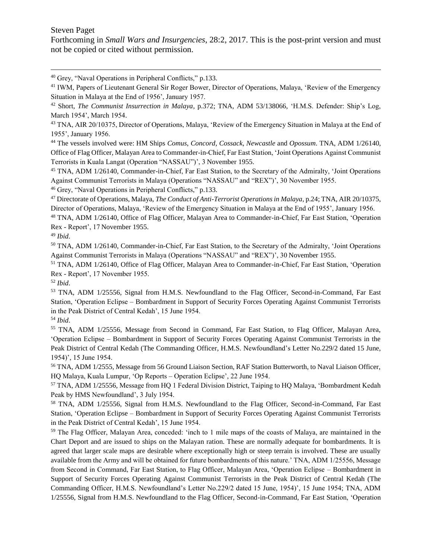$\overline{a}$ 

Forthcoming in *Small Wars and Insurgencies*, 28:2, 2017. This is the post-print version and must not be copied or cited without permission.

<sup>40</sup> Grey, "Naval Operations in Peripheral Conflicts," p.133.

<sup>44</sup> The vessels involved were: HM Ships *Comus*, *Concord*, *Cossack*, *Newcastle* and *Opossum*. TNA, ADM 1/26140, Office of Flag Officer, Malayan Area to Commander-in-Chief, Far East Station, 'Joint Operations Against Communist Terrorists in Kuala Langat (Operation "NASSAU")', 3 November 1955.

<sup>45</sup> TNA, ADM 1/26140, Commander-in-Chief, Far East Station, to the Secretary of the Admiralty, 'Joint Operations Against Communist Terrorists in Malaya (Operations "NASSAU" and "REX")', 30 November 1955.

<sup>46</sup> Grey, "Naval Operations in Peripheral Conflicts," p.133.

<sup>47</sup> Directorate of Operations, Malaya, *The Conduct of Anti-Terrorist Operations in Malaya*, p.24; TNA, AIR 20/10375, Director of Operations, Malaya, 'Review of the Emergency Situation in Malaya at the End of 1955', January 1956.

<sup>48</sup> TNA, ADM 1/26140, Office of Flag Officer, Malayan Area to Commander-in-Chief, Far East Station, 'Operation Rex - Report', 17 November 1955.

<sup>49</sup> *Ibid*.

<sup>50</sup> TNA, ADM 1/26140, Commander-in-Chief, Far East Station, to the Secretary of the Admiralty, 'Joint Operations Against Communist Terrorists in Malaya (Operations "NASSAU" and "REX")', 30 November 1955.

<sup>51</sup> TNA, ADM 1/26140, Office of Flag Officer, Malayan Area to Commander-in-Chief, Far East Station, 'Operation Rex - Report', 17 November 1955.

<sup>52</sup> *Ibid*.

<sup>53</sup> TNA, ADM 1/25556, Signal from H.M.S. Newfoundland to the Flag Officer, Second-in-Command, Far East Station, 'Operation Eclipse – Bombardment in Support of Security Forces Operating Against Communist Terrorists in the Peak District of Central Kedah', 15 June 1954.

<sup>54</sup> *Ibid*.

<sup>55</sup> TNA, ADM 1/25556, Message from Second in Command, Far East Station, to Flag Officer, Malayan Area, 'Operation Eclipse – Bombardment in Support of Security Forces Operating Against Communist Terrorists in the Peak District of Central Kedah (The Commanding Officer, H.M.S. Newfoundland's Letter No.229/2 dated 15 June, 1954)', 15 June 1954.

<sup>56</sup> TNA, ADM 1/2555, Message from 56 Ground Liaison Section, RAF Station Butterworth, to Naval Liaison Officer, HQ Malaya, Kuala Lumpur, 'Op Reports – Operation Eclipse', 22 June 1954.

<sup>57</sup> TNA, ADM 1/25556, Message from HQ 1 Federal Division District, Taiping to HQ Malaya, 'Bombardment Kedah Peak by HMS Newfoundland', 3 July 1954.

<sup>58</sup> TNA, ADM 1/25556, Signal from H.M.S. Newfoundland to the Flag Officer, Second-in-Command, Far East Station, 'Operation Eclipse – Bombardment in Support of Security Forces Operating Against Communist Terrorists in the Peak District of Central Kedah', 15 June 1954.

<sup>59</sup> The Flag Officer, Malayan Area, conceded: 'inch to 1 mile maps of the coasts of Malaya, are maintained in the Chart Deport and are issued to ships on the Malayan ration. These are normally adequate for bombardments. It is agreed that larger scale maps are desirable where exceptionally high or steep terrain is involved. These are usually available from the Army and will be obtained for future bombardments of this nature.' TNA, ADM 1/25556, Message from Second in Command, Far East Station, to Flag Officer, Malayan Area, 'Operation Eclipse – Bombardment in Support of Security Forces Operating Against Communist Terrorists in the Peak District of Central Kedah (The Commanding Officer, H.M.S. Newfoundland's Letter No.229/2 dated 15 June, 1954)', 15 June 1954; TNA, ADM 1/25556, Signal from H.M.S. Newfoundland to the Flag Officer, Second-in-Command, Far East Station, 'Operation

<sup>&</sup>lt;sup>41</sup> IWM, Papers of Lieutenant General Sir Roger Bower, Director of Operations, Malaya, 'Review of the Emergency Situation in Malaya at the End of 1956', January 1957.

<sup>42</sup> Short, *The Communist Insurrection in Malaya*, p.372; TNA, ADM 53/138066, 'H.M.S. Defender: Ship's Log, March 1954', March 1954.

<sup>&</sup>lt;sup>43</sup> TNA, AIR 20/10375, Director of Operations, Malaya, 'Review of the Emergency Situation in Malaya at the End of 1955', January 1956.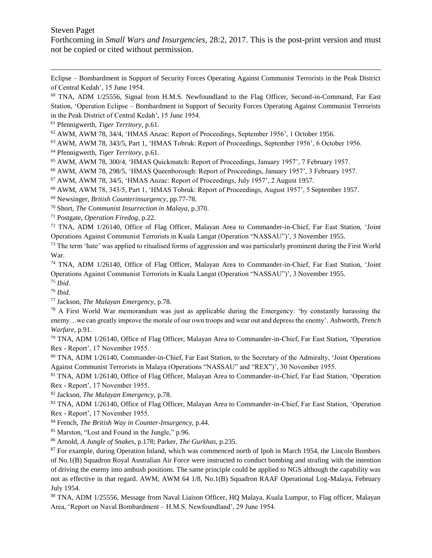$\overline{a}$ 

Forthcoming in *Small Wars and Insurgencies*, 28:2, 2017. This is the post-print version and must not be copied or cited without permission.

Eclipse – Bombardment in Support of Security Forces Operating Against Communist Terrorists in the Peak District of Central Kedah', 15 June 1954.

<sup>60</sup> TNA, ADM 1/25556, Signal from H.M.S. Newfoundland to the Flag Officer, Second-in-Command, Far East Station, 'Operation Eclipse – Bombardment in Support of Security Forces Operating Against Communist Terrorists in the Peak District of Central Kedah', 15 June 1954.

<sup>61</sup> Pfennigwerth, *Tiger Territory*, p.61.

<sup>62</sup> AWM, AWM 78, 34/4, 'HMAS Anzac: Report of Proceedings, September 1956', 1 October 1956.

<sup>63</sup> AWM, AWM 78, 343/5, Part 1, 'HMAS Tobruk: Report of Proceedings, September 1956', 6 October 1956.

<sup>64</sup> Pfennigwerth, *Tiger Territory*, p.61.

<sup>65</sup> AWM, AWM 78, 300/4, 'HMAS Quickmatch: Report of Proceedings, January 1957', 7 February 1957.

<sup>66</sup> AWM, AWM 78, 298/5, 'HMAS Queenborough: Report of Proceedings, January 1957', 3 February 1957.

<sup>67</sup> AWM, AWM 78, 34/5, 'HMAS Anzac: Report of Proceedings, July 1957', 2 August 1957.

<sup>68</sup> AWM, AWM 78, 343/5, Part 1, 'HMAS Tobruk: Report of Proceedings, August 1957', 5 September 1957.

<sup>69</sup> Newsinger, *British Counterinsurgency*, pp.77-78.

<sup>70</sup> Short, *The Communist Insurrection in Malaya*, p.370.

<sup>71</sup> Postgate, *Operation Firedog*, p.22.

<sup>72</sup> TNA, ADM 1/26140, Office of Flag Officer, Malayan Area to Commander-in-Chief, Far East Station, 'Joint Operations Against Communist Terrorists in Kuala Langat (Operation "NASSAU")', 3 November 1955.

 $<sup>73</sup>$  The term 'hate' was applied to ritualised forms of aggression and was particularly prominent during the First World</sup> War.

<sup>74</sup> TNA, ADM 1/26140, Office of Flag Officer, Malayan Area to Commander-in-Chief, Far East Station, 'Joint Operations Against Communist Terrorists in Kuala Langat (Operation "NASSAU")', 3 November 1955.

<sup>75</sup> *Ibid*.

<sup>76</sup> *Ibid*.

<sup>77</sup> Jackson, *The Malayan Emergency*, p.78.

<sup>78</sup> A First World War memorandum was just as applicable during the Emergency: 'by constantly harassing the enemy…we can greatly improve the morale of our own troops and wear out and depress the enemy'. Ashworth, *Trench Warfare*, p.91.

<sup>79</sup> TNA, ADM 1/26140, Office of Flag Officer, Malayan Area to Commander-in-Chief, Far East Station, 'Operation Rex - Report', 17 November 1955.

<sup>80</sup> TNA, ADM 1/26140, Commander-in-Chief, Far East Station, to the Secretary of the Admiralty, 'Joint Operations Against Communist Terrorists in Malaya (Operations "NASSAU" and "REX")', 30 November 1955.

<sup>81</sup> TNA, ADM 1/26140, Office of Flag Officer, Malayan Area to Commander-in-Chief, Far East Station, 'Operation Rex - Report', 17 November 1955.

<sup>82</sup> Jackson, *The Malayan Emergency*, p.78.

83 TNA, ADM 1/26140, Office of Flag Officer, Malayan Area to Commander-in-Chief, Far East Station. 'Operation Rex - Report', 17 November 1955.

<sup>84</sup> French, *The British Way in Counter-Insurgency*, p.44.

<sup>85</sup> Marston, "Lost and Found in the Jungle," p.96.

<sup>86</sup> Arnold, *A Jungle of Snakes*, p.178; Parker, *The Gurkhas*, p.235.

<sup>87</sup> For example, during Operation Inland, which was commenced north of Ipoh in March 1954, the Lincoln Bombers of No.1(B) Squadron Royal Australian Air Force were instructed to conduct bombing and strafing with the intention of driving the enemy into ambush positions. The same principle could be applied to NGS although the capability was not as effective in that regard. AWM, AWM 64 1/8, No.1(B) Squadron RAAF Operational Log-Malaya, February July 1954.

88 TNA, ADM 1/25556, Message from Naval Liaison Officer, HQ Malaya, Kuala Lumpur, to Flag officer, Malayan Area, 'Report on Naval Bombardment – H.M.S. Newfoundland', 29 June 1954.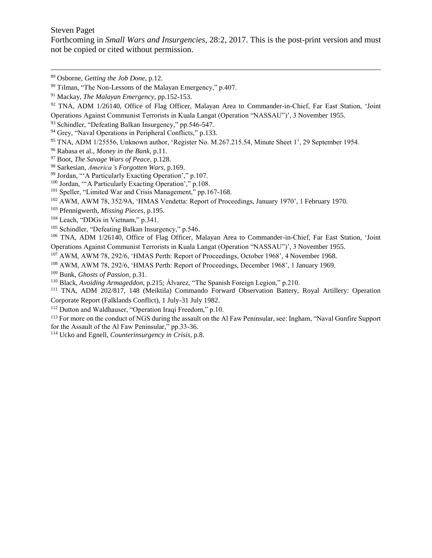$\overline{a}$ 

Forthcoming in *Small Wars and Insurgencies*, 28:2, 2017. This is the post-print version and must not be copied or cited without permission.

- TNA, ADM 1/25556, Unknown author, 'Register No. M.267.215.54, Minute Sheet 1', 29 September 1954.
- Rabasa et al., *Money in the Bank*, p.11.
- Boot, *The Savage Wars of Peace*, p.128.
- Sarkesian, *America's Forgotten Wars*, p.169.
- Jordan, "'A Particularly Exacting Operation'," p.107.
- Jordan, "'A Particularly Exacting Operation'," p.108.
- <sup>101</sup> Speller, "Limited War and Crisis Management," pp.167-168.

AWM, AWM 78, 352/9A, 'HMAS Vendetta: Report of Proceedings, January 1970', 1 February 1970.

Pfennigwerth, *Missing Pieces*, p.195.

- <sup>104</sup> Leach, "DDGs in Vietnam," p.341.
- Schindler, "Defeating Balkan Insurgency," p.546.
- TNA, ADM 1/26140, Office of Flag Officer, Malayan Area to Commander-in-Chief, Far East Station, 'Joint Operations Against Communist Terrorists in Kuala Langat (Operation "NASSAU")', 3 November 1955.

AWM, AWM 78, 292/6, 'HMAS Perth: Report of Proceedings, October 1968', 4 November 1968.

AWM, AWM 78, 292/6, 'HMAS Perth: Report of Proceedings, December 1968', 1 January 1969.

Bunk, *Ghosts of Passion*, p.31.

Black, *Avoiding Armageddon*, p.215; Álvarez, "The Spanish Foreign Legion," p.210.

 TNA, ADM 202/817, 148 (Meiktila) Commando Forward Observation Battery, Royal Artillery: Operation Corporate Report (Falklands Conflict), 1 July-31 July 1982.

Dutton and Waldhauser, "Operation Iraqi Freedom," p.10.

<sup>113</sup> For more on the conduct of NGS during the assault on the Al Faw Peninsular, see: Ingham, "Naval Gunfire Support for the Assault of the Al Faw Peninsular," pp.33-36.

Ucko and Egnell, *Counterinsurgency in Crisis*, p.8.

Osborne, *Getting the Job Done*, p.12.

Tilman, "The Non-Lessons of the Malayan Emergency," p.407.

Mackay, *The Malayan Emergency*, pp.152-153.

 TNA, ADM 1/26140, Office of Flag Officer, Malayan Area to Commander-in-Chief, Far East Station, 'Joint Operations Against Communist Terrorists in Kuala Langat (Operation "NASSAU")', 3 November 1955.

Schindler, "Defeating Balkan Insurgency," pp.546-547.

<sup>&</sup>lt;sup>94</sup> Grey, "Naval Operations in Peripheral Conflicts," p.133.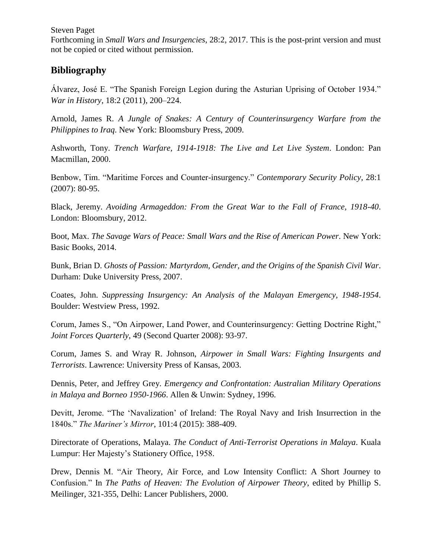Forthcoming in *Small Wars and Insurgencies*, 28:2, 2017. This is the post-print version and must not be copied or cited without permission.

# **Bibliography**

Álvarez, José E. "The Spanish Foreign Legion during the Asturian Uprising of October 1934." *War in History*, 18:2 (2011), 200–224.

Arnold, James R. *A Jungle of Snakes: A Century of Counterinsurgency Warfare from the Philippines to Iraq*. New York: Bloomsbury Press, 2009.

Ashworth, Tony. *Trench Warfare, 1914-1918: The Live and Let Live System*. London: Pan Macmillan, 2000.

Benbow, Tim. "Maritime Forces and Counter-insurgency." *Contemporary Security Policy*, 28:1 (2007): 80-95.

Black, Jeremy. *Avoiding Armageddon: From the Great War to the Fall of France, 1918-40*. London: Bloomsbury, 2012.

Boot, Max. *The Savage Wars of Peace: Small Wars and the Rise of American Power*. New York: Basic Books, 2014.

Bunk, Brian D. *Ghosts of Passion: Martyrdom, Gender, and the Origins of the Spanish Civil War*. Durham: Duke University Press, 2007.

Coates, John. *Suppressing Insurgency: An Analysis of the Malayan Emergency, 1948-1954*. Boulder: Westview Press, 1992.

Corum, James S., "On Airpower, Land Power, and Counterinsurgency: Getting Doctrine Right," *Joint Forces Quarterly*, 49 (Second Quarter 2008): 93-97.

Corum, James S. and Wray R. Johnson, *Airpower in Small Wars: Fighting Insurgents and Terrorists*. Lawrence: University Press of Kansas, 2003.

Dennis, Peter, and Jeffrey Grey. *Emergency and Confrontation: Australian Military Operations in Malaya and Borneo 1950-1966*. Allen & Unwin: Sydney, 1996.

Devitt, Jerome. "The 'Navalization' of Ireland: The Royal Navy and Irish Insurrection in the 1840s." *The Mariner's Mirror*, 101:4 (2015): 388-409.

Directorate of Operations, Malaya. *The Conduct of Anti-Terrorist Operations in Malaya*. Kuala Lumpur: Her Majesty's Stationery Office, 1958.

Drew, Dennis M. "Air Theory, Air Force, and Low Intensity Conflict: A Short Journey to Confusion." In *The Paths of Heaven: The Evolution of Airpower Theory*, edited by Phillip S. Meilinger, 321-355, Delhi: Lancer Publishers, 2000.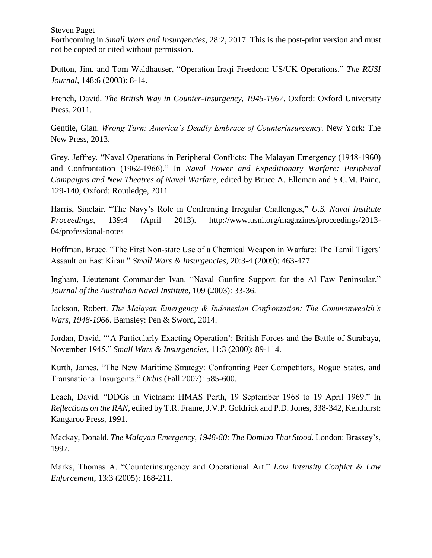Forthcoming in *Small Wars and Insurgencies*, 28:2, 2017. This is the post-print version and must not be copied or cited without permission.

Dutton, Jim, and Tom Waldhauser, "Operation Iraqi Freedom: US/UK Operations." *The RUSI Journal*, 148:6 (2003): 8-14.

French, David. *The British Way in Counter-Insurgency, 1945-1967*. Oxford: Oxford University Press, 2011.

Gentile, Gian. *Wrong Turn: America's Deadly Embrace of Counterinsurgency*. New York: The New Press, 2013.

Grey, Jeffrey. "Naval Operations in Peripheral Conflicts: The Malayan Emergency (1948-1960) and Confrontation (1962-1966)." In *Naval Power and Expeditionary Warfare: Peripheral Campaigns and New Theatres of Naval Warfare*, edited by Bruce A. Elleman and S.C.M. Paine, 129-140, Oxford: Routledge, 2011.

Harris, Sinclair. "The Navy's Role in Confronting Irregular Challenges," *U.S. Naval Institute Proceedings*, 139:4 (April 2013). http://www.usni.org/magazines/proceedings/2013- 04/professional-notes

Hoffman, Bruce. "The First Non-state Use of a Chemical Weapon in Warfare: The Tamil Tigers' Assault on East Kiran." *Small Wars & Insurgencies*, 20:3-4 (2009): 463-477.

Ingham, Lieutenant Commander Ivan. "Naval Gunfire Support for the Al Faw Peninsular." *Journal of the Australian Naval Institute*, 109 (2003): 33-36.

Jackson, Robert. *The Malayan Emergency & Indonesian Confrontation: The Commonwealth's Wars*, *1948-1966*. Barnsley: Pen & Sword, 2014.

Jordan, David. "'A Particularly Exacting Operation': British Forces and the Battle of Surabaya, November 1945." *Small Wars & Insurgencies*, 11:3 (2000): 89-114.

Kurth, James. "The New Maritime Strategy: Confronting Peer Competitors, Rogue States, and Transnational Insurgents." *Orbis* (Fall 2007): 585-600.

Leach, David. "DDGs in Vietnam: HMAS Perth, 19 September 1968 to 19 April 1969." In *Reflections on the RAN*, edited by T.R. Frame, J.V.P. Goldrick and P.D. Jones, 338-342, Kenthurst: Kangaroo Press, 1991.

Mackay, Donald. *The Malayan Emergency, 1948-60: The Domino That Stood*. London: Brassey's, 1997.

Marks, Thomas A. "Counterinsurgency and Operational Art." *Low Intensity Conflict & Law Enforcement*, 13:3 (2005): 168-211.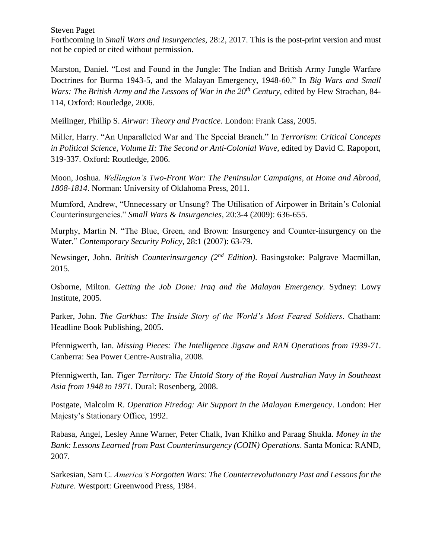Forthcoming in *Small Wars and Insurgencies*, 28:2, 2017. This is the post-print version and must not be copied or cited without permission.

Marston, Daniel. "Lost and Found in the Jungle: The Indian and British Army Jungle Warfare Doctrines for Burma 1943-5, and the Malayan Emergency, 1948-60." In *Big Wars and Small Wars: The British Army and the Lessons of War in the 20th Century*, edited by Hew Strachan, 84- 114, Oxford: Routledge, 2006.

Meilinger, Phillip S. *Airwar: Theory and Practice*. London: Frank Cass, 2005.

Miller, Harry. "An Unparalleled War and The Special Branch." In *Terrorism: Critical Concepts in Political Science, Volume II: The Second or Anti-Colonial Wave*, edited by David C. Rapoport, 319-337. Oxford: Routledge, 2006.

Moon, Joshua. *Wellington's Two-Front War: The Peninsular Campaigns, at Home and Abroad, 1808-1814*. Norman: University of Oklahoma Press, 2011.

Mumford, Andrew, "Unnecessary or Unsung? The Utilisation of Airpower in Britain's Colonial Counterinsurgencies." *Small Wars & Insurgencies*, 20:3-4 (2009): 636-655.

Murphy, Martin N. "The Blue, Green, and Brown: Insurgency and Counter-insurgency on the Water." *Contemporary Security Policy*, 28:1 (2007): 63-79.

Newsinger, John. *British Counterinsurgency (2nd Edition)*. Basingstoke: Palgrave Macmillan, 2015.

Osborne, Milton. *Getting the Job Done: Iraq and the Malayan Emergency*. Sydney: Lowy Institute, 2005.

Parker, John. *The Gurkhas: The Inside Story of the World's Most Feared Soldiers*. Chatham: Headline Book Publishing, 2005.

Pfennigwerth, Ian. *Missing Pieces: The Intelligence Jigsaw and RAN Operations from 1939-71*. Canberra: Sea Power Centre-Australia, 2008.

Pfennigwerth, Ian. *Tiger Territory: The Untold Story of the Royal Australian Navy in Southeast Asia from 1948 to 1971*. Dural: Rosenberg, 2008.

Postgate, Malcolm R. *Operation Firedog: Air Support in the Malayan Emergency*. London: Her Majesty's Stationary Office, 1992.

Rabasa, Angel, Lesley Anne Warner, Peter Chalk, Ivan Khilko and Paraag Shukla. *Money in the Bank: Lessons Learned from Past Counterinsurgency (COIN) Operations*. Santa Monica: RAND, 2007.

Sarkesian, Sam C. *America's Forgotten Wars: The Counterrevolutionary Past and Lessons for the Future*. Westport: Greenwood Press, 1984.